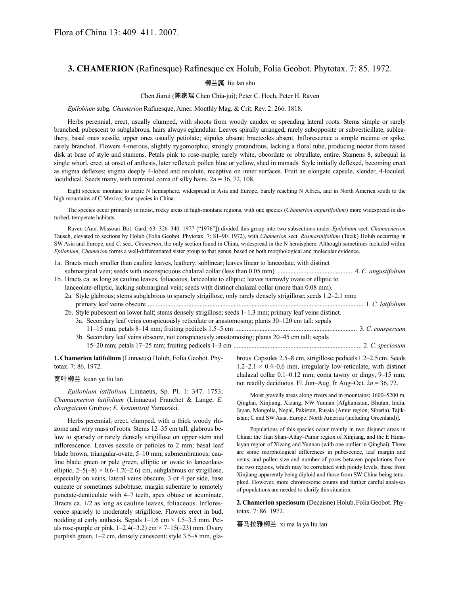# **3. CHAMERION** (Rafinesque) Rafinesque ex Holub, Folia Geobot. Phytotax. 7: 85. 1972.

## 柳兰属 liu lan shu

#### Chen Jiarui (陈家瑞 Chen Chia-jui); Peter C. Hoch, Peter H. Raven

#### *Epilobium* subg. *Chamerion* Rafinesque, Amer. Monthly Mag. & Crit. Rev. 2: 266. 1818.

Herbs perennial, erect, usually clumped, with shoots from woody caudex or spreading lateral roots. Stems simple or rarely branched, pubescent to subglabrous, hairs always eglandular. Leaves spirally arranged, rarely subopposite or subverticillate, subleathery, basal ones sessile, upper ones usually petiolate; stipules absent; bracteoles absent. Inflorescence a simple raceme or spike, rarely branched. Flowers 4-merous, slightly zygomorphic, strongly protandrous, lacking a floral tube, producing nectar from raised disk at base of style and stamens. Petals pink to rose-purple, rarely white, obcordate or obtrullate, entire. Stamens 8, subequal in single whorl, erect at onset of anthesis, later reflexed; pollen blue or yellow, shed in monads. Style initially deflexed, becoming erect as stigma deflexes; stigma deeply 4-lobed and revolute, receptive on inner surfaces. Fruit an elongate capsule, slender, 4-loculed, loculidical. Seeds many, with terminal coma of silky hairs.  $2n = 36, 72, 108$ .

Eight species: montane to arctic N hemisphere, widespread in Asia and Europe, barely reaching N Africa, and in North America south to the high mountains of C Mexico; four species in China.

The species occur primarily in moist, rocky areas in high-montane regions, with one species (*Chamerion angustifolium*) more widespread in disturbed, temperate habitats.

Raven (Ann. Missouri Bot. Gard. 63: 326–340. 1977 ["1976"]) divided this group into two subsections under *Epilobium* sect. *Chamaenerion* Tausch, elevated to sections by Holub (Folia Geobot. Phytotax. 7: 81–90. 1972), with *Chamerion* sect. *Rosmarinifolium* (Tacik) Holub occurring in SW Asia and Europe, and *C.* sect. *Chamerion*, the only section found in China, widespread in the N hemisphere. Although sometimes included within *Epilobium*, *Chamerion* forms a well-differentiated sister group to that genus, based on both morphological and molecular evidence.

| 1a. Bracts much smaller than cauline leaves, leathery, sublinear; leaves linear to lanceolate, with distinct       |  |
|--------------------------------------------------------------------------------------------------------------------|--|
|                                                                                                                    |  |
| 1b. Bracts ca. as long as cauline leaves, foliaceous, lanceolate to elliptic; leaves narrowly ovate or elliptic to |  |
| lanceolate-elliptic, lacking submarginal vein; seeds with distinct chalazal collar (more than 0.08 mm).            |  |
| 2a. Style glabrous; stems subglabrous to sparsely strigillose, only rarely densely strigillose; seeds 1.2-2.1 mm;  |  |
|                                                                                                                    |  |
| 2b. Style pubescent on lower half; stems densely strigillose; seeds 1–1.3 mm; primary leaf veins distinct.         |  |
| 3a. Secondary leaf veins conspicuously reticulate or anastomosing; plants 30–120 cm tall; sepals                   |  |
|                                                                                                                    |  |
| 3b. Secondary leaf veins obscure, not conspicuously anastomosing; plants 20-45 cm tall; sepals                     |  |
|                                                                                                                    |  |
|                                                                                                                    |  |

**1.Chamerion latifolium** (Linnaeus) Holub, Folia Geobot. Phytotax. 7: 86. 1972.

#### 宽叶柳兰 kuan ye liu lan

*Epilobium latifolium* Linnaeus, Sp. Pl. 1: 347. 1753; *Chamaenerion latifolium* (Linnaeus) Franchet & Lange; *E. changaicum* Grubov; *E. kesamitsui* Yamazaki.

Herbs perennial, erect, clumped, with a thick woody rhizome and wiry mass of roots. Stems 12–35 cm tall, glabrous below to sparsely or rarely densely strigillose on upper stem and inflorescence. Leaves sessile or petioles to 2 mm; basal leaf blade brown, triangular-ovate, 5–10 mm, submembranous; cauline blade green or pale green, elliptic or ovate to lanceolateelliptic,  $2-5(-8) \times 0.6-1.7(-2.6)$  cm, subglabrous or strigillose, especially on veins, lateral veins obscure, 3 or 4 per side, base cuneate or sometimes subobtuse, margin subentire to remotely punctate-denticulate with 4–7 teeth, apex obtuse or acuminate. Bracts ca. 1/2 as long as cauline leaves, foliaceous. Inflorescence sparsely to moderately strigillose. Flowers erect in bud, nodding at early anthesis. Sepals  $1-1.6$  cm  $\times$  1.5–3.5 mm. Petals rose-purple or pink,  $1-2.4(-3.2)$  cm  $\times$  7 $-15(-23)$  mm. Ovary purplish green, 1–2 cm, densely canescent; style 3.5–8 mm, glabrous. Capsules 2.5–8 cm, strigillose; pedicels 1.2–2.5 cm. Seeds  $1.2-2.1 \times 0.4-0.6$  mm, irregularly low-reticulate, with distinct chalazal collar 0.1–0.12 mm; coma tawny or dingy, 9–15 mm, not readily deciduous. Fl. Jun–Aug, fr. Aug–Oct. 2*n* = 36, 72.

Moist gravelly areas along rivers and in mountains; 1600–5200 m. Qinghai, Xinjiang, Xizang, NW Yunnan [Afghanistan, Bhutan, India, Japan, Mongolia, Nepal, Pakistan, Russia (Amur region, Siberia), Tajikistan; C and SW Asia, Europe, North America (including Greenland)].

Populations of this species occur mainly in two disjunct areas in China: the Tian Shan–Altay–Pamir region of Xinjiang, and the E Himalayan region of Xizang and Yunnan (with one outlier in Qinghai). There are some morphological differences in pubescence, leaf margin and veins, and pollen size and number of pores between populations from the two regions, which may be correlated with ploidy levels, those from Xinjiang apparently being diploid and those from SW China being tetraploid. However, more chromosome counts and further careful analyses of populations are needed to clarify this situation.

**2.Chamerion speciosum** (Decaisne) Holub,FoliaGeobot. Phytotax. 7: 86. 1972.

喜马拉雅柳兰 xi ma la ya liu lan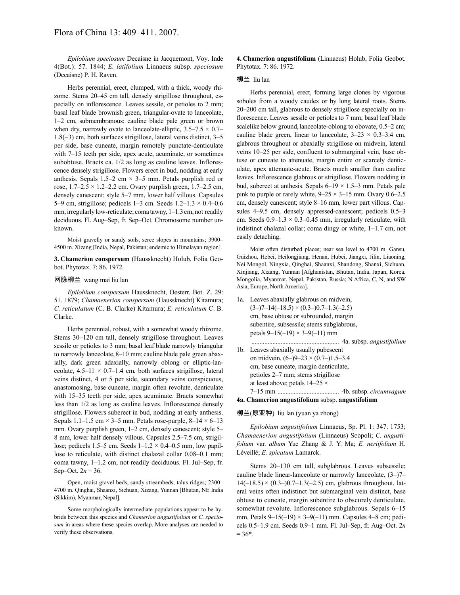*Epilobium speciosum* Decaisne in Jacquemont, Voy. Inde 4(Bot.): 57. 1844; *E. latifolium* Linnaeus subsp. *speciosum* (Decaisne) P. H. Raven.

Herbs perennial, erect, clumped, with a thick, woody rhizome. Stems 20–45 cm tall, densely strigillose throughout, especially on inflorescence. Leaves sessile, or petioles to 2 mm; basal leaf blade brownish green, triangular-ovate to lanceolate, 1–2 cm, submembranous; cauline blade pale green or brown when dry, narrowly ovate to lanceolate-elliptic,  $3.5-7.5 \times 0.7-$ 1.8(–3) cm, both surfaces strigillose, lateral veins distinct, 3–5 per side, base cuneate, margin remotely punctate-denticulate with 7–15 teeth per side, apex acute, acuminate, or sometimes subobtuse. Bracts ca. 1/2 as long as cauline leaves. Inflorescence densely strigillose. Flowers erect in bud, nodding at early anthesis. Sepals  $1.5-2$  cm  $\times$  3-5 mm. Petals purplish red or rose,  $1.7-2.5 \times 1.2-2.2$  cm. Ovary purplish green,  $1.7-2.5$  cm, densely canescent; style 5–7 mm, lower half villous. Capsules 5–9 cm, strigillose; pedicels 1–3 cm. Seeds  $1.2-1.3 \times 0.4-0.6$ mm, irregularly low-reticulate; coma tawny, 1–1.3 cm, not readily deciduous. Fl. Aug–Sep, fr. Sep–Oct. Chromosome number unknown.

Moist gravelly or sandy soils, scree slopes in mountains; 3900– 4500 m. Xizang [India, Nepal, Pakistan; endemic to Himalayan region].

**3. Chamerion conspersum** (Haussknecht) Holub, Folia Geobot. Phytotax. 7: 86. 1972.

#### 网脉柳兰 wang mai liu lan

*Epilobium conspersum* Haussknecht, Oesterr. Bot. Z. 29: 51. 1879; *Chamaenerion conspersum* (Haussknecht) Kitamura; *C. reticulatum* (C. B. Clarke) Kitamura; *E. reticulatum* C. B. Clarke.

Herbs perennial, robust, with a somewhat woody rhizome. Stems 30–120 cm tall, densely strigillose throughout. Leaves sessile or petioles to 3 mm; basal leaf blade narrowly triangular to narrowly lanceolate, 8–10 mm; cauline blade pale green abaxially, dark green adaxially, narrowly oblong or elliptic-lanceolate,  $4.5-11 \times 0.7-1.4$  cm, both surfaces strigillose, lateral veins distinct, 4 or 5 per side, secondary veins conspicuous, anastomosing, base cuneate, margin often revolute, denticulate with 15–35 teeth per side, apex acuminate. Bracts somewhat less than 1/2 as long as cauline leaves. Inflorescence densely strigillose. Flowers suberect in bud, nodding at early anthesis. Sepals 1.1–1.5 cm  $\times$  3–5 mm. Petals rose-purple, 8–14  $\times$  6–13 mm. Ovary purplish green, 1–2 cm, densely canescent; style 5– 8 mm, lower half densely villous. Capsules 2.5–7.5 cm, strigillose; pedicels 1.5–5 cm. Seeds  $1-1.2 \times 0.4-0.5$  mm, low papillose to reticulate, with distinct chalazal collar 0.08–0.1 mm; coma tawny, 1–1.2 cm, not readily deciduous. Fl. Jul–Sep, fr. Sep–Oct.  $2n = 36$ .

Open, moist gravel beds, sandy streambeds, talus ridges; 2300– 4700 m. Qinghai, Shaanxi, Sichuan, Xizang, Yunnan [Bhutan, NE India (Sikkim), Myanmar, Nepal].

Some morphologically intermediate populations appear to be hybrids between this species and *Chamerion angustifolium* or *C. speciosum* in areas where these species overlap. More analyses are needed to verify these observations.

**4. Chamerion angustifolium** (Linnaeus) Holub, Folia Geobot. Phytotax. 7: 86. 1972.

#### 柳兰 liu lan

Herbs perennial, erect, forming large clones by vigorous soboles from a woody caudex or by long lateral roots. Stems 20–200 cm tall, glabrous to densely strigillose especially on inflorescence. Leaves sessile or petioles to 7 mm; basal leaf blade scalelike below ground, lanceolate-oblong to obovate, 0.5–2 cm; cauline blade green, linear to lanceolate,  $3-23 \times 0.3-3.4$  cm, glabrous throughout or abaxially strigillose on midvein, lateral veins 10–25 per side, confluent to submarginal vein, base obtuse or cuneate to attenuate, margin entire or scarcely denticulate, apex attenuate-acute. Bracts much smaller than cauline leaves. Inflorescence glabrous or strigillose. Flowers nodding in bud, suberect at anthesis. Sepals 6–19 × 1.5–3 mm. Petals pale pink to purple or rarely white,  $9-25 \times 3-15$  mm. Ovary 0.6–2.5 cm, densely canescent; style 8–16 mm, lower part villous. Capsules 4–9.5 cm, densely appressed-canescent; pedicels 0.5–3 cm. Seeds  $0.9-1.3 \times 0.3-0.45$  mm, irregularly reticulate, with indistinct chalazal collar; coma dingy or white, 1–1.7 cm, not easily detaching.

Moist often disturbed places; near sea level to 4700 m. Gansu, Guizhou, Hebei, Heilongjiang, Henan, Hubei, Jiangxi, Jilin, Liaoning, Nei Mongol, Ningxia, Qinghai, Shaanxi, Shandong, Shanxi, Sichuan, Xinjiang, Xizang, Yunnan [Afghanistan, Bhutan, India, Japan, Korea, Mongolia, Myanmar, Nepal, Pakistan, Russia; N Africa, C, N, and SW Asia, Europe, North America].

- 1a. Leaves abaxially glabrous on midvein,  $(3-)7-14(-18.5) \times (0.3-)0.7-1.3(-2.5)$ cm, base obtuse or subrounded, margin subentire, subsessile; stems subglabrous, petals  $9-15(-19) \times 3-9(-11)$  mm ...................................................... 4a. subsp. *angustifolium*
- 1b. Leaves abaxially usually pubescent on midvein,  $(6-)9-23 \times (0.7-)1.5-3.4$ cm, base cuneate, margin denticulate, petioles 2–7 mm; stems strigillose at least above; petals 14–25 × 7–15 mm ...................................... 4b. subsp. *circumvagum*

**4a. Chamerion angustifolium** subsp. **angustifolium**

### 柳兰(原亚种) liu lan (yuan ya zhong)

*Epilobium angustifolium* Linnaeus, Sp. Pl. 1: 347. 1753; *Chamaenerion angustifolium* (Linnaeus) Scopoli; *C. angustifolium* var. *album* Yue Zhang & J. Y. Ma; *E. neriifolium* H. Léveillé; *E. spicatum* Lamarck.

Stems 20–130 cm tall, subglabrous. Leaves subsessile; cauline blade linear-lanceolate or narrowly lanceolate, (3–)7–  $14(-18.5) \times (0.3-)0.7-1.3(-2.5)$  cm, glabrous throughout, lateral veins often indistinct but submarginal vein distinct, base obtuse to cuneate, margin subentire to obscurely denticulate, somewhat revolute. Inflorescence subglabrous. Sepals 6–15 mm. Petals  $9-15(-19) \times 3-9(-11)$  mm. Capsules 4–8 cm; pedicels 0.5–1.9 cm. Seeds 0.9–1 mm. Fl. Jul–Sep, fr. Aug–Oct. 2*n*  $= 36*$ .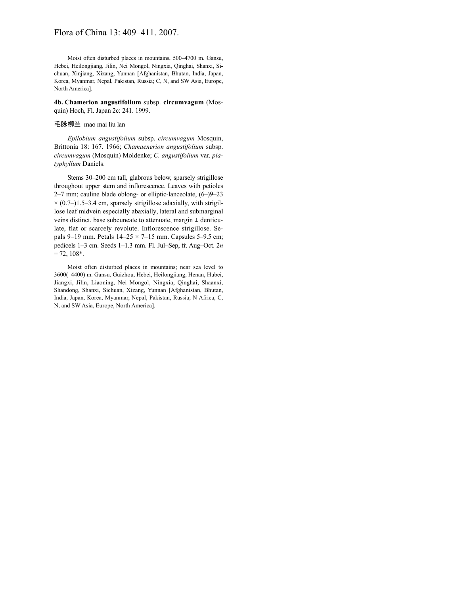Moist often disturbed places in mountains, 500–4700 m. Gansu, Hebei, Heilongjiang, Jilin, Nei Mongol, Ningxia, Qinghai, Shanxi, Sichuan, Xinjiang, Xizang, Yunnan [Afghanistan, Bhutan, India, Japan, Korea, Myanmar, Nepal, Pakistan, Russia; C, N, and SW Asia, Europe, North America].

**4b. Chamerion angustifolium** subsp. **circumvagum** (Mosquin) Hoch, Fl. Japan 2c: 241. 1999.

#### 毛脉柳兰 mao mai liu lan

*Epilobium angustifolium* subsp. *circumvagum* Mosquin, Brittonia 18: 167. 1966; *Chamaenerion angustifolium* subsp. *circumvagum* (Mosquin) Moldenke; *C. angustifolium* var. *platyphyllum* Daniels.

Stems 30–200 cm tall, glabrous below, sparsely strigillose throughout upper stem and inflorescence. Leaves with petioles 2–7 mm; cauline blade oblong- or elliptic-lanceolate, (6–)9–23  $\times$  (0.7–)1.5–3.4 cm, sparsely strigillose adaxially, with strigillose leaf midvein especially abaxially, lateral and submarginal veins distinct, base subcuneate to attenuate, margin  $\pm$  denticulate, flat or scarcely revolute. Inflorescence strigillose. Sepals 9–19 mm. Petals  $14-25 \times 7-15$  mm. Capsules 5–9.5 cm; pedicels 1–3 cm. Seeds 1–1.3 mm. Fl. Jul–Sep, fr. Aug–Oct. 2*n*  $= 72, 108*$ .

Moist often disturbed places in mountains; near sea level to 3600(–4400) m. Gansu, Guizhou, Hebei, Heilongjiang, Henan, Hubei, Jiangxi, Jilin, Liaoning, Nei Mongol, Ningxia, Qinghai, Shaanxi, Shandong, Shanxi, Sichuan, Xizang, Yunnan [Afghanistan, Bhutan, India, Japan, Korea, Myanmar, Nepal, Pakistan, Russia; N Africa, C, N, and SW Asia, Europe, North America].